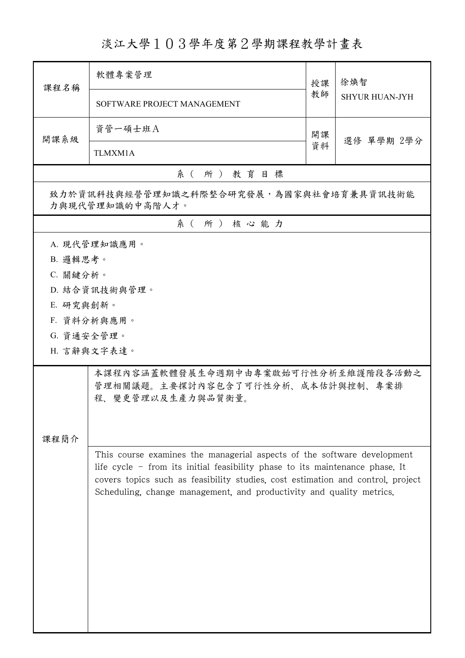## 淡江大學103學年度第2學期課程教學計畫表

| 課程名稱                                                       | 軟體專案管理                                                                                                                                                  | 授課               | 徐煥智                   |  |  |  |
|------------------------------------------------------------|---------------------------------------------------------------------------------------------------------------------------------------------------------|------------------|-----------------------|--|--|--|
|                                                            | SOFTWARE PROJECT MANAGEMENT                                                                                                                             |                  | <b>SHYUR HUAN-JYH</b> |  |  |  |
| 開課系級                                                       | 資管一碩士班A                                                                                                                                                 | 開課<br>選修 單學期 2學分 |                       |  |  |  |
|                                                            | <b>TLMXM1A</b>                                                                                                                                          | 資料               |                       |  |  |  |
|                                                            | 系(所)教育目標                                                                                                                                                |                  |                       |  |  |  |
| 致力於資訊科技與經營管理知識之科際整合研究發展,為國家與社會培育兼具資訊技術能<br>力與現代管理知識的中高階人才。 |                                                                                                                                                         |                  |                       |  |  |  |
|                                                            | 系(所)核心能力                                                                                                                                                |                  |                       |  |  |  |
|                                                            | A. 現代管理知識應用。                                                                                                                                            |                  |                       |  |  |  |
| B. 邏輯思考。                                                   |                                                                                                                                                         |                  |                       |  |  |  |
| C. 關鍵分析。                                                   |                                                                                                                                                         |                  |                       |  |  |  |
|                                                            | D. 結合資訊技術與管理。                                                                                                                                           |                  |                       |  |  |  |
| E. 研究與創新。                                                  |                                                                                                                                                         |                  |                       |  |  |  |
| G. 資通安全管理。                                                 | F. 資料分析與應用。                                                                                                                                             |                  |                       |  |  |  |
|                                                            | H. 言辭與文字表達。                                                                                                                                             |                  |                       |  |  |  |
|                                                            |                                                                                                                                                         |                  |                       |  |  |  |
|                                                            | 本課程內容涵蓋軟體發展生命週期中由專案啟始可行性分析至維護階段各活動之<br>管理相關議題。主要探討內容包含了可行性分析、成本估計與控制、專案排<br>程、變更管理以及生產力與品質衡量。                                                           |                  |                       |  |  |  |
|                                                            |                                                                                                                                                         |                  |                       |  |  |  |
|                                                            |                                                                                                                                                         |                  |                       |  |  |  |
| 課程簡介                                                       |                                                                                                                                                         |                  |                       |  |  |  |
|                                                            | This course examines the managerial aspects of the software development                                                                                 |                  |                       |  |  |  |
|                                                            | life cycle $-$ from its initial feasibility phase to its maintenance phase. It                                                                          |                  |                       |  |  |  |
|                                                            | covers topics such as feasibility studies, cost estimation and control, project<br>Scheduling, change management, and productivity and quality metrics. |                  |                       |  |  |  |
|                                                            |                                                                                                                                                         |                  |                       |  |  |  |
|                                                            |                                                                                                                                                         |                  |                       |  |  |  |
|                                                            |                                                                                                                                                         |                  |                       |  |  |  |
|                                                            |                                                                                                                                                         |                  |                       |  |  |  |
|                                                            |                                                                                                                                                         |                  |                       |  |  |  |
|                                                            |                                                                                                                                                         |                  |                       |  |  |  |
|                                                            |                                                                                                                                                         |                  |                       |  |  |  |
|                                                            |                                                                                                                                                         |                  |                       |  |  |  |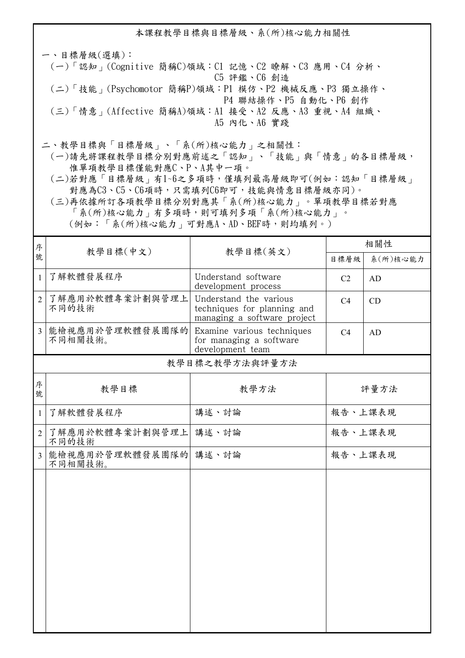本課程教學目標與目標層級、系(所)核心能力相關性

一、目標層級(選填): (一)「認知」(Cognitive 簡稱C)領域:C1 記憶、C2 瞭解、C3 應用、C4 分析、 C5 評鑑、C6 創造 (二)「技能」(Psychomotor 簡稱P)領域:P1 模仿、P2 機械反應、P3 獨立操作、 P4 聯結操作、P5 自動化、P6 創作 (三)「情意」(Affective 簡稱A)領域:A1 接受、A2 反應、A3 重視、A4 組織、 A5 內化、A6 實踐

二、教學目標與「目標層級」、「系(所)核心能力」之相關性:

 (一)請先將課程教學目標分別對應前述之「認知」、「技能」與「情意」的各目標層級, 惟單項教學目標僅能對應C、P、A其中一項。

 (二)若對應「目標層級」有1~6之多項時,僅填列最高層級即可(例如:認知「目標層級」 對應為C3、C5、C6項時,只需填列C6即可,技能與情意目標層級亦同)。

 (三)再依據所訂各項教學目標分別對應其「系(所)核心能力」。單項教學目標若對應 「系(所)核心能力」有多項時,則可填列多項「系(所)核心能力」。

(例如:「系(所)核心能力」可對應A、AD、BEF時,則均填列。)

| 序              | 教學目標(中文)<br>教學目標(英文)             |                                                                                      | 相關性            |      |  |
|----------------|----------------------------------|--------------------------------------------------------------------------------------|----------------|------|--|
| 號              |                                  | 目標層級                                                                                 | 系(所)核心能力       |      |  |
| $\mathbf{1}$   | 了解軟體發展程序                         | Understand software<br>development process                                           | C <sub>2</sub> | AD   |  |
| $\overline{2}$ | 了解應用於軟體專案計劃與管理上<br>不同的技術         | Understand the various<br>techniques for planning and<br>managing a software project | C <sub>4</sub> | CD   |  |
| 3              | 能檢視應用於管理軟體發展團隊的<br>不同相關技術。       | Examine various techniques<br>for managing a software<br>development team            | C <sub>4</sub> | AD   |  |
|                | 教學目標之教學方法與評量方法                   |                                                                                      |                |      |  |
| 序<br>號         | 教學目標                             | 教學方法                                                                                 |                | 評量方法 |  |
| $\mathbf{1}$   | 了解軟體發展程序                         | 講述、討論                                                                                | 報告、上課表現        |      |  |
| $\overline{2}$ | 了解應用於軟體專案計劃與管理上<br>不同的技術         | 講述、討論                                                                                | 報告、上課表現        |      |  |
| $\overline{3}$ | 能檢視應用於管理軟體發展團隊的 講述、討論<br>不同相關技術。 |                                                                                      | 報告、上課表現        |      |  |
|                |                                  |                                                                                      |                |      |  |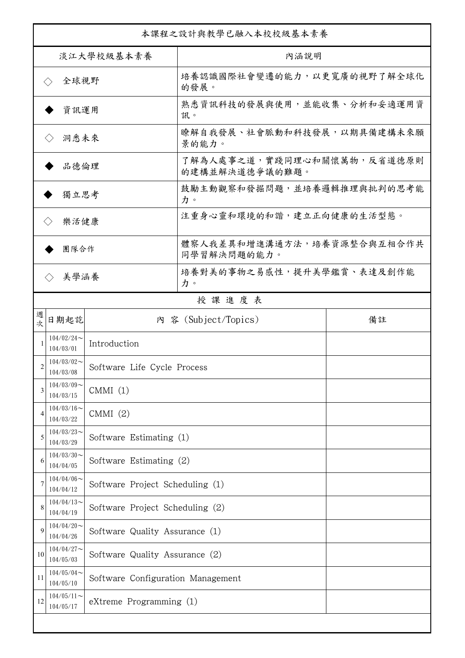| 本課程之設計與教學已融入本校校級基本素養                   |                                       |                                   |                                              |    |  |
|----------------------------------------|---------------------------------------|-----------------------------------|----------------------------------------------|----|--|
| 淡江大學校級基本素養                             |                                       |                                   | 內涵說明                                         |    |  |
| 全球視野<br>$\left\langle \ \right\rangle$ |                                       |                                   | 培養認識國際社會變遷的能力,以更寬廣的視野了解全球化<br>的發展。           |    |  |
| 資訊運用                                   |                                       |                                   | 熟悉資訊科技的發展與使用,並能收集、分析和妥適運用資<br>訊。             |    |  |
| 洞悉未來<br>$\langle \ \rangle$            |                                       |                                   | 瞭解自我發展、社會脈動和科技發展,以期具備建構未來願<br>景的能力。          |    |  |
| 品德倫理                                   |                                       |                                   | 了解為人處事之道,實踐同理心和關懷萬物,反省道德原則<br>的建構並解決道德爭議的難題。 |    |  |
| 獨立思考                                   |                                       |                                   | 鼓勵主動觀察和發掘問題,並培養邏輯推理與批判的思考能<br>力。             |    |  |
| 樂活健康<br>$\langle \ \rangle$            |                                       |                                   | 注重身心靈和環境的和諧,建立正向健康的生活型態。                     |    |  |
| 團隊合作                                   |                                       |                                   | 體察人我差異和增進溝通方法,培養資源整合與互相合作共<br>同學習解決問題的能力。    |    |  |
| 美學涵養                                   |                                       |                                   | 培養對美的事物之易感性,提升美學鑑賞、表達及創作能<br>力。              |    |  |
|                                        |                                       |                                   | 授課進度表                                        |    |  |
| 週<br>欤                                 | 日期起訖                                  |                                   | 內 容 (Subject/Topics)                         | 備註 |  |
|                                        | $104/02/24$ ~<br>104/03/01            | Introduction                      |                                              |    |  |
| 2                                      | $104/03/02$ ~<br>104/03/08            | Software Life Cycle Process       |                                              |    |  |
| 3                                      | $104/03/09$ ~<br>CMMI(1)<br>104/03/15 |                                   |                                              |    |  |
| 4                                      | $104/03/16$ ~<br>CMMI(2)<br>104/03/22 |                                   |                                              |    |  |
| 5                                      | $104/03/23$ ~<br>104/03/29            | Software Estimating (1)           |                                              |    |  |
| 6                                      | $104/03/30$ ~<br>104/04/05            | Software Estimating (2)           |                                              |    |  |
| 7                                      | $104/04/06 \sim$<br>104/04/12         | Software Project Scheduling (1)   |                                              |    |  |
| 8                                      | $104/04/13$ ~<br>104/04/19            | Software Project Scheduling (2)   |                                              |    |  |
| 9                                      | $104/04/20$ ~<br>104/04/26            | Software Quality Assurance (1)    |                                              |    |  |
| 10                                     | $104/04/27$ ~<br>104/05/03            |                                   | Software Quality Assurance (2)               |    |  |
| 11                                     | $104/05/04$ ~<br>104/05/10            | Software Configuration Management |                                              |    |  |
| 12                                     | $104/05/11$ ~<br>104/05/17            | eXtreme Programming (1)           |                                              |    |  |
|                                        |                                       |                                   |                                              |    |  |